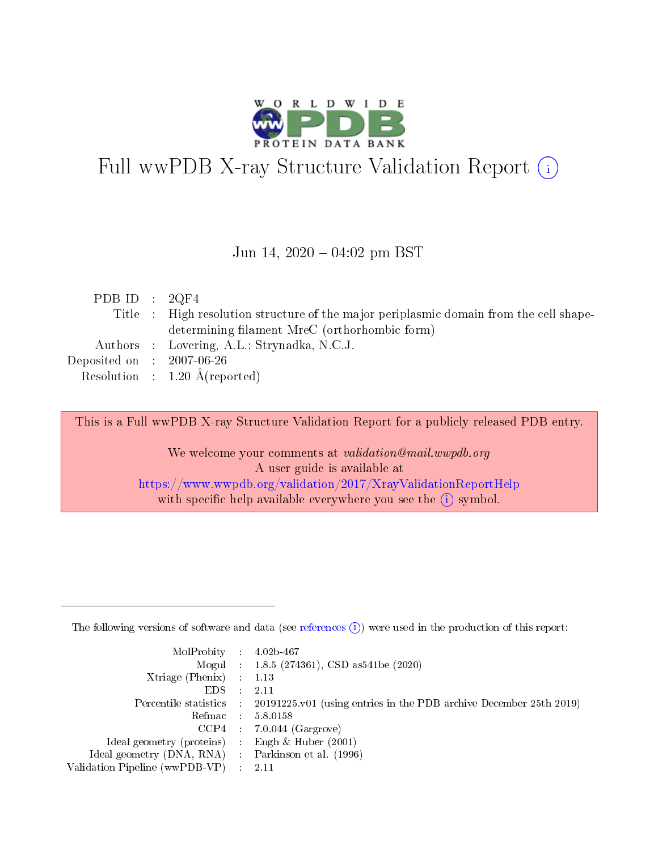

# Full wwPDB X-ray Structure Validation Report (i)

#### Jun 14,  $2020 - 04:02$  pm BST

| PDB ID : $2QF4$                      |                                                                                        |
|--------------------------------------|----------------------------------------------------------------------------------------|
|                                      | Title : High resolution structure of the major periplasmic domain from the cell shape- |
|                                      | determining filament MreC (orthorhombic form)                                          |
|                                      | Authors : Lovering, A.L.; Strynadka, N.C.J.                                            |
| Deposited on $\therefore$ 2007-06-26 |                                                                                        |
|                                      | Resolution : $1.20 \text{ Å}$ (reported)                                               |

This is a Full wwPDB X-ray Structure Validation Report for a publicly released PDB entry.

We welcome your comments at validation@mail.wwpdb.org A user guide is available at <https://www.wwpdb.org/validation/2017/XrayValidationReportHelp> with specific help available everywhere you see the  $(i)$  symbol.

The following versions of software and data (see [references](https://www.wwpdb.org/validation/2017/XrayValidationReportHelp#references)  $(1)$ ) were used in the production of this report:

| $MolProbability$ : 4.02b-467                        |                                                                                            |
|-----------------------------------------------------|--------------------------------------------------------------------------------------------|
|                                                     | Mogul : 1.8.5 (274361), CSD as 541be (2020)                                                |
| Xtriage (Phenix) $: 1.13$                           |                                                                                            |
| EDS :                                               | -2.11                                                                                      |
|                                                     | Percentile statistics : 20191225.v01 (using entries in the PDB archive December 25th 2019) |
| Refmac 58.0158                                      |                                                                                            |
|                                                     | $CCP4$ 7.0.044 (Gargrove)                                                                  |
| Ideal geometry (proteins) : Engh $\&$ Huber (2001)  |                                                                                            |
| Ideal geometry (DNA, RNA) : Parkinson et al. (1996) |                                                                                            |
| Validation Pipeline (wwPDB-VP) : 2.11               |                                                                                            |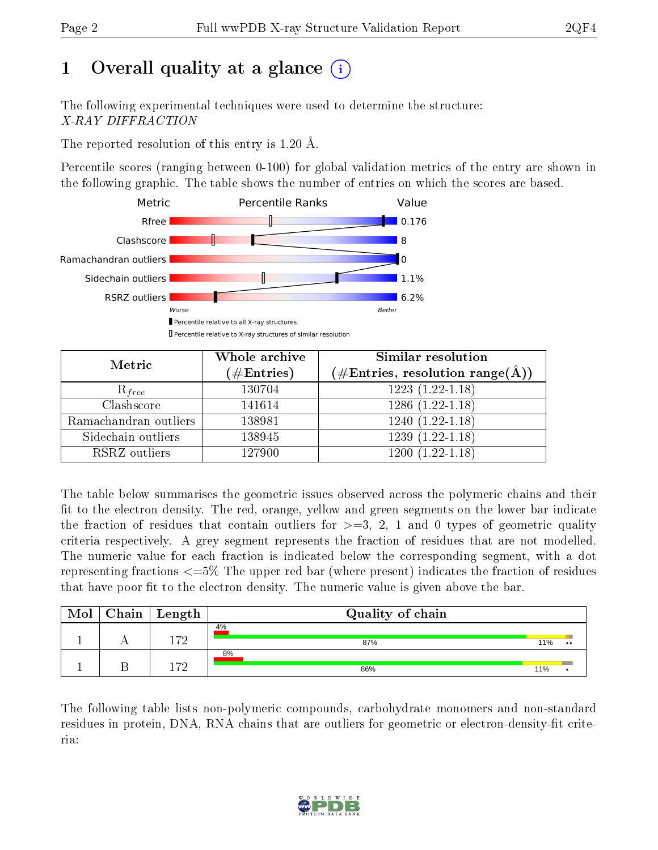## 1 [O](https://www.wwpdb.org/validation/2017/XrayValidationReportHelp#overall_quality)verall quality at a glance (i)

The following experimental techniques were used to determine the structure: X-RAY DIFFRACTION

The reported resolution of this entry is 1.20 Å.

Percentile scores (ranging between 0-100) for global validation metrics of the entry are shown in the following graphic. The table shows the number of entries on which the scores are based.



| Metric                | Whole archive<br>$(\#\text{Entries})$ | Similar resolution<br>$(\#\text{Entries}, \text{resolution range}(\text{\AA}))$ |  |  |
|-----------------------|---------------------------------------|---------------------------------------------------------------------------------|--|--|
| $R_{free}$            | 130704                                | $1223(1.22-1.18)$                                                               |  |  |
| Clashscore            | 141614                                | $1286(1.22-1.18)$                                                               |  |  |
| Ramachandran outliers | 138981                                | $1240(1.22-1.18)$                                                               |  |  |
| Sidechain outliers    | 138945                                | $1239(1.22-1.18)$                                                               |  |  |
| RSRZ outliers         | 127900                                | $1200(1.22-1.18)$                                                               |  |  |

The table below summarises the geometric issues observed across the polymeric chains and their fit to the electron density. The red, orange, yellow and green segments on the lower bar indicate the fraction of residues that contain outliers for  $>=3, 2, 1$  and 0 types of geometric quality criteria respectively. A grey segment represents the fraction of residues that are not modelled. The numeric value for each fraction is indicated below the corresponding segment, with a dot representing fractions <=5% The upper red bar (where present) indicates the fraction of residues that have poor fit to the electron density. The numeric value is given above the bar.

| Mol | ${\bf Chain \mid Length}$ | Quality of chain |     |                  |
|-----|---------------------------|------------------|-----|------------------|
|     | 179                       | 4%<br>87%        | 11% | $\bullet\bullet$ |
|     | 170                       | 8%<br>86%        | 11% |                  |

The following table lists non-polymeric compounds, carbohydrate monomers and non-standard residues in protein, DNA, RNA chains that are outliers for geometric or electron-density-fit criteria:

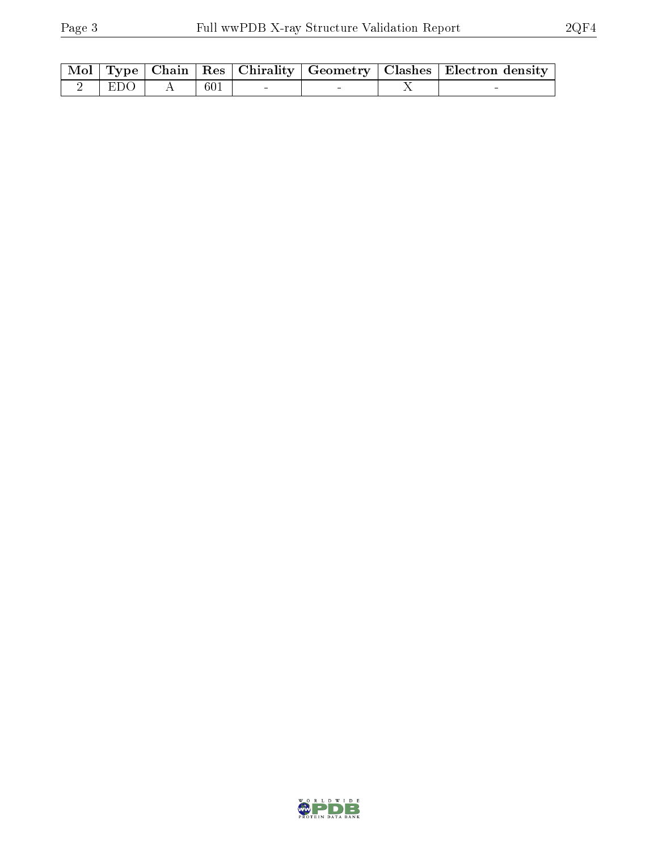|                   |             |  | Mol   Type   Chain   Res   Chirality   Geometry   Clashes   Electron density |
|-------------------|-------------|--|------------------------------------------------------------------------------|
| $2 \mid EDO \mid$ | $\pm 601 +$ |  |                                                                              |

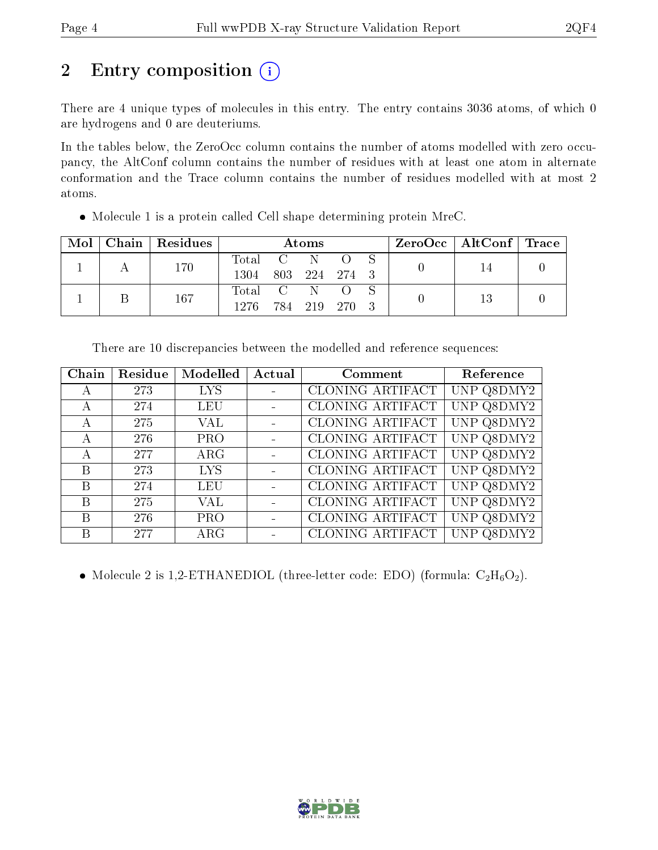## 2 Entry composition (i)

There are 4 unique types of molecules in this entry. The entry contains 3036 atoms, of which 0 are hydrogens and 0 are deuteriums.

In the tables below, the ZeroOcc column contains the number of atoms modelled with zero occupancy, the AltConf column contains the number of residues with at least one atom in alternate conformation and the Trace column contains the number of residues modelled with at most 2 atoms.

| Mol |  | Chain   Residues | <b>Atoms</b>  |         |  | $\text{ZeroOcc}$   AltConf   Trace |  |  |  |
|-----|--|------------------|---------------|---------|--|------------------------------------|--|--|--|
|     |  | 170              | Total C N O   |         |  |                                    |  |  |  |
|     |  | 1304             | 803 224 274 3 |         |  |                                    |  |  |  |
|     |  |                  | Total C N O   |         |  |                                    |  |  |  |
|     |  | 167              | 1276.         | 784 219 |  | - 270                              |  |  |  |

Molecule 1 is a protein called Cell shape determining protein MreC.

| Chain        | Residue | Modelled    | Actual | Comment                 | Reference       |
|--------------|---------|-------------|--------|-------------------------|-----------------|
| $\mathsf{A}$ | 273     | <b>LYS</b>  |        | CLONING ARTIFACT        | UNP Q8DMY2      |
| А            | 274     | LEU         |        | <b>CLONING ARTIFACT</b> | UNP Q8DMY2      |
| А            | 275     | VAL         |        | CLONING ARTIFACT        | UNP Q8DMY2      |
| А            | 276     | <b>PRO</b>  |        | CLONING ARTIFACT        | UNP Q8DMY2      |
|              | 277     | $\rm{ARG}$  |        | CLONING ARTIFACT        | UNP Q8DMY2      |
| B            | 273     | <b>LYS</b>  |        | CLONING ARTIFACT        | UNP Q8DMY2      |
| B            | 274     | <b>LEU</b>  |        | <b>CLONING ARTIFACT</b> | UNP Q8DMY2      |
| B            | 275     | VAL         |        | CLONING ARTIFACT        | UNP Q8DMY2      |
| B            | 276     | <b>PRO</b>  |        | CLONING ARTIFACT        | UNP Q8DMY2      |
| В            | 277     | ${\rm ARG}$ |        | CLONING ARTIFACT        | UNP  <br>Q8DMY2 |

There are 10 discrepancies between the modelled and reference sequences:

• Molecule 2 is 1,2-ETHANEDIOL (three-letter code: EDO) (formula:  $C_2H_6O_2$ ).

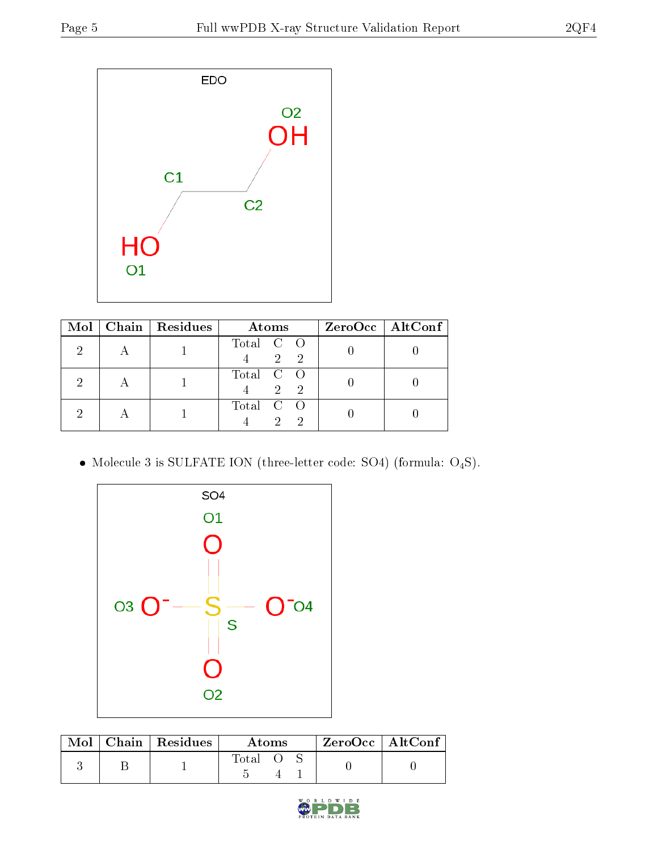

| Mol | $\vert$ Chain $\vert$ Residues | Atoms                                                      | $ZeroOcc \mid AltConf \mid$ |
|-----|--------------------------------|------------------------------------------------------------|-----------------------------|
|     |                                | Total C O<br>$\mathcal{D}$<br>2                            |                             |
|     |                                | Total C O<br>$\mathcal{D}_{\mathcal{L}}$<br>$\overline{2}$ |                             |
|     |                                | Total C O<br>$\Omega$                                      |                             |

 $\bullet$  Molecule 3 is SULFATE ION (three-letter code: SO4) (formula:  $\mathrm{O}_4\mathrm{S}) .$ 



|  | $Mol$   Chain   Residues | Atoms |  |  | $ZeroOcc$   AltConf |  |
|--|--------------------------|-------|--|--|---------------------|--|
|  |                          | Total |  |  |                     |  |

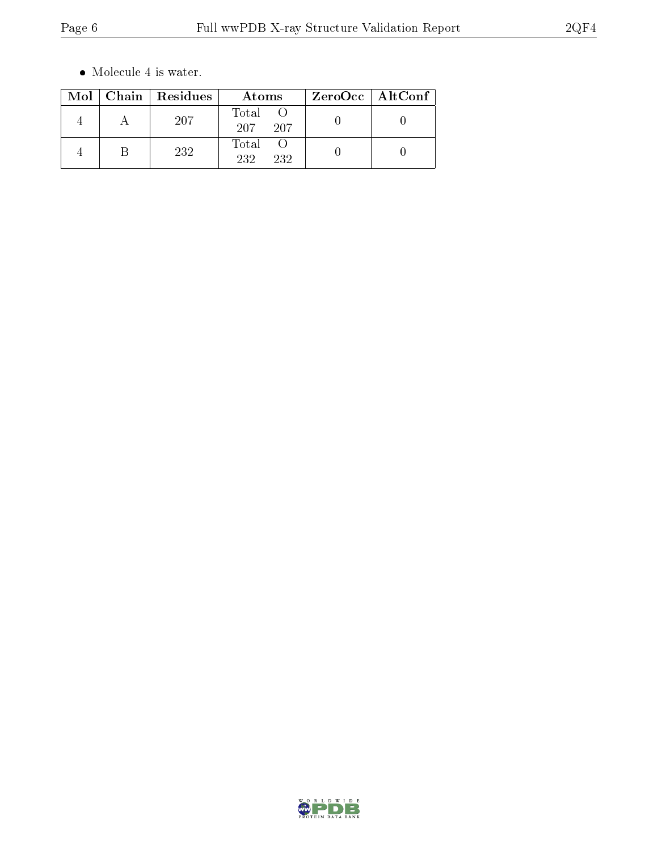$\bullet\,$  Molecule 4 is water.

|  | Mol   Chain   Residues | Atoms                | ZeroOcc   AltConf |
|--|------------------------|----------------------|-------------------|
|  | 207                    | Total<br>207<br>-207 |                   |
|  | 232                    | Total<br>232<br>232  |                   |

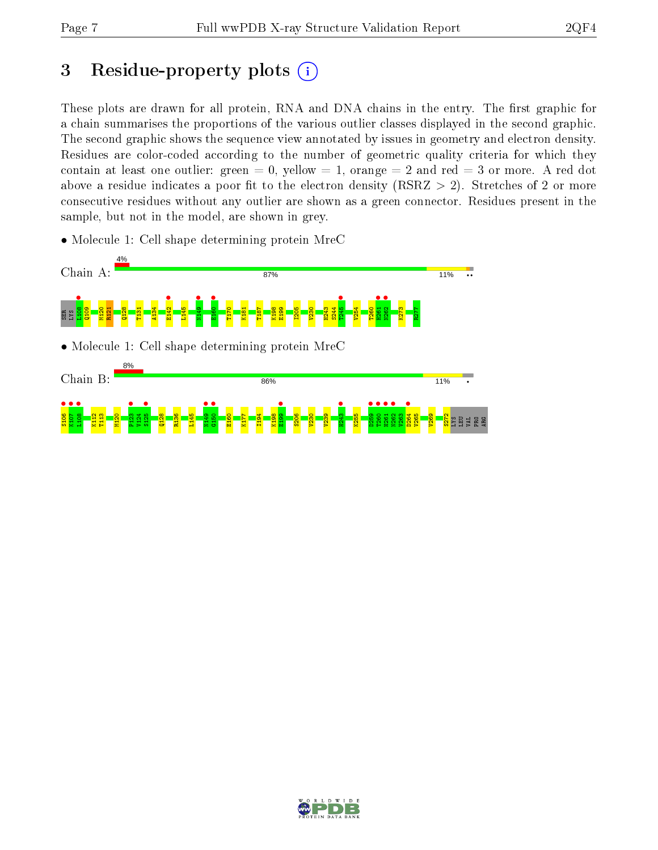## 3 Residue-property plots  $(i)$

These plots are drawn for all protein, RNA and DNA chains in the entry. The first graphic for a chain summarises the proportions of the various outlier classes displayed in the second graphic. The second graphic shows the sequence view annotated by issues in geometry and electron density. Residues are color-coded according to the number of geometric quality criteria for which they contain at least one outlier: green  $= 0$ , yellow  $= 1$ , orange  $= 2$  and red  $= 3$  or more. A red dot above a residue indicates a poor fit to the electron density (RSRZ  $> 2$ ). Stretches of 2 or more consecutive residues without any outlier are shown as a green connector. Residues present in the sample, but not in the model, are shown in grey.

• Molecule 1: Cell shape determining protein MreC



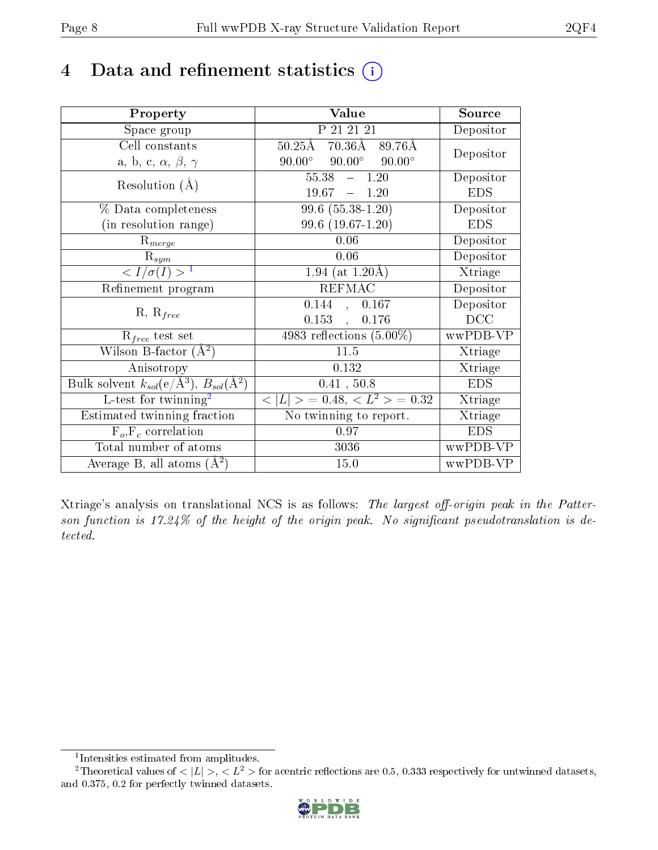## 4 Data and refinement statistics (i)

| Property                                                                 | Value                                            | Source     |
|--------------------------------------------------------------------------|--------------------------------------------------|------------|
| Space group                                                              | P 21 21 21                                       | Depositor  |
| Cell constants                                                           | $70.36\text{\AA}$<br>$50.25\text{\AA}$<br>89.76Å |            |
| a, b, c, $\alpha$ , $\beta$ , $\gamma$                                   | $90.00^\circ$<br>$90.00^\circ$<br>$90.00^\circ$  | Depositor  |
| Resolution $(A)$                                                         | 55.38<br>$-1.20$                                 | Depositor  |
|                                                                          | 19.67<br>$-1.20$                                 | <b>EDS</b> |
| $\%$ Data completeness                                                   | $99.6(55.38-1.20)$                               | Depositor  |
| (in resolution range)                                                    | $99.6(19.67-1.20)$                               | <b>EDS</b> |
| $R_{merge}$                                                              | 0.06                                             | Depositor  |
| $\mathrm{R}_{sym}$                                                       | 0.06                                             | Depositor  |
| $\langle I/\sigma(I) \rangle^{-1}$                                       | 1.94 (at $1.20\text{\AA}$ )                      | Xtriage    |
| Refinement program                                                       | <b>REFMAC</b>                                    | Depositor  |
| $R, R_{free}$                                                            | 0.144<br>0.167<br>$\mathcal{A}^{\mathcal{A}}$    | Depositor  |
|                                                                          | $0.153$ ,<br>0.176                               | DCC        |
| $\mathcal{R}_{free}$ test set                                            | 4983 reflections $(5.00\%)$                      | wwPDB-VP   |
| Wilson B-factor $(A^2)$                                                  | 11.5                                             | Xtriage    |
| Anisotropy                                                               | 0.132                                            | Xtriage    |
| Bulk solvent $k_{sol}(\mathrm{e}/\mathrm{A}^3),$ $B_{sol}(\mathrm{A}^2)$ | 0.41, 50.8                                       | <b>EDS</b> |
| L-test for twinning <sup>2</sup>                                         | $< L >$ = 0.48, $< L2$ = 0.32                    | Xtriage    |
| Estimated twinning fraction                                              | $\overline{\text{No}}$ twinning to report.       | Xtriage    |
| $F_o, F_c$ correlation                                                   | 0.97                                             | <b>EDS</b> |
| Total number of atoms                                                    | 3036                                             | wwPDB-VP   |
| Average B, all atoms $(A^2)$                                             | 15.0                                             | wwPDB-VP   |

Xtriage's analysis on translational NCS is as follows: The largest off-origin peak in the Patterson function is  $17.24\%$  of the height of the origin peak. No significant pseudotranslation is detected.

<sup>&</sup>lt;sup>2</sup>Theoretical values of  $\langle |L| \rangle$ ,  $\langle L^2 \rangle$  for acentric reflections are 0.5, 0.333 respectively for untwinned datasets, and 0.375, 0.2 for perfectly twinned datasets.



<span id="page-7-1"></span><span id="page-7-0"></span><sup>1</sup> Intensities estimated from amplitudes.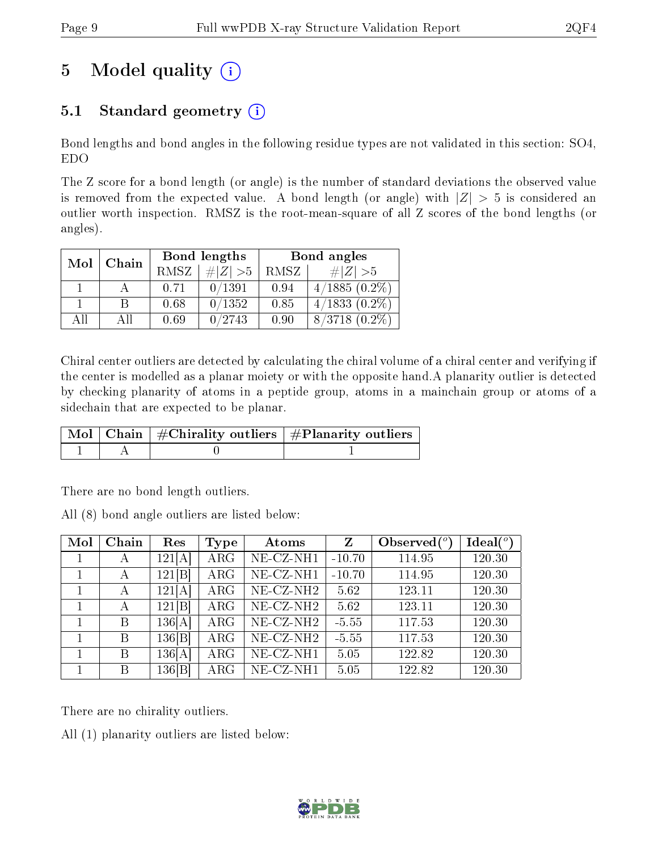## 5 Model quality  $(i)$

### 5.1 Standard geometry  $(i)$

Bond lengths and bond angles in the following residue types are not validated in this section: SO4, EDO

The Z score for a bond length (or angle) is the number of standard deviations the observed value is removed from the expected value. A bond length (or angle) with  $|Z| > 5$  is considered an outlier worth inspection. RMSZ is the root-mean-square of all Z scores of the bond lengths (or angles).

| Mol | Chain |             | Bond lengths | Bond angles |                               |  |
|-----|-------|-------------|--------------|-------------|-------------------------------|--|
|     |       | <b>RMSZ</b> | $\# Z  > 5$  | RMSZ        | $\# Z  > 5$                   |  |
|     |       | 0.71        | 0/1391       | 0.94        | $4/1885(0.2\%)$               |  |
|     | B     | 0.68        | 0/1352       | 0.85        | $4/1833$ $(0.\overline{2\%)}$ |  |
| AĦ  | АH    | 0.69        | 0/2743       | 0.90        | $8/3718$ $(0.2\%)$            |  |

Chiral center outliers are detected by calculating the chiral volume of a chiral center and verifying if the center is modelled as a planar moiety or with the opposite hand.A planarity outlier is detected by checking planarity of atoms in a peptide group, atoms in a mainchain group or atoms of a sidechain that are expected to be planar.

|  | $\mid$ Mol $\mid$ Chain $\mid$ #Chirality outliers $\mid$ #Planarity outliers $'$ |
|--|-----------------------------------------------------------------------------------|
|  |                                                                                   |

There are no bond length outliers.

All (8) bond angle outliers are listed below:

| Mol | Chain | Res    | Type       | Atoms                 | Z        | Observed $\binom{o}{c}$ | Ideal $(°)$ |
|-----|-------|--------|------------|-----------------------|----------|-------------------------|-------------|
|     | А     | 121[A] | $\rm{ARG}$ | NE-CZ-NH1             | $-10.70$ | 114.95                  | 120.30      |
|     | А     | 121[B] | $\rm{ARG}$ | NE-CZ-NH1             | $-10.70$ | 114.95                  | 120.30      |
|     | А     | 121[A] | $\rm{ARG}$ | NE-CZ-NH <sub>2</sub> | 5.62     | 123.11                  | 120.30      |
|     | А     | 121[B] | $\rm{ARG}$ | NE-CZ-NH <sub>2</sub> | 5.62     | 123.11                  | 120.30      |
|     | B     | 136[A] | $\rm{ARG}$ | NE-CZ-NH <sub>2</sub> | $-5.55$  | 117.53                  | 120.30      |
|     | Β     | 136 B  | $\rm{ARG}$ | NE-CZ-NH <sub>2</sub> | $-5.55$  | 117.53                  | 120.30      |
|     | B     | 136[A] | $\rm{ARG}$ | NE-CZ-NH1             | 5.05     | 122.82                  | 120.30      |
|     | B     | 136 B  | $\rm{ARG}$ | NE-CZ-NH1             | 5.05     | 122.82                  | 120.30      |

There are no chirality outliers.

All (1) planarity outliers are listed below:

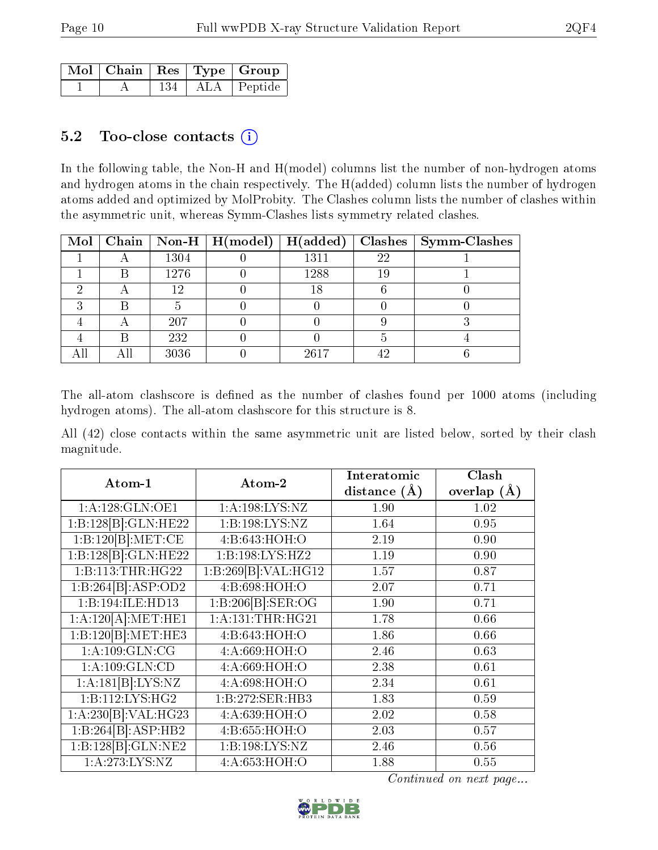|  |     | $\sqrt{\text{Mol}} \mid \text{Chain} \mid \text{Res} \mid \text{Type} \mid \text{Group} \mid$ |
|--|-----|-----------------------------------------------------------------------------------------------|
|  | 134 | ALA   Peptide                                                                                 |

#### 5.2 Too-close contacts  $(i)$

In the following table, the Non-H and H(model) columns list the number of non-hydrogen atoms and hydrogen atoms in the chain respectively. The H(added) column lists the number of hydrogen atoms added and optimized by MolProbity. The Clashes column lists the number of clashes within the asymmetric unit, whereas Symm-Clashes lists symmetry related clashes.

|  |      | Mol   Chain   Non-H   H(model)   H(added) |      |    | $\textbf{Class} \mid \textbf{Symm-Class}$ |
|--|------|-------------------------------------------|------|----|-------------------------------------------|
|  | 1304 |                                           | 1311 | 22 |                                           |
|  | 1276 |                                           | 1288 |    |                                           |
|  | 12   |                                           | 18   |    |                                           |
|  |      |                                           |      |    |                                           |
|  | 207  |                                           |      |    |                                           |
|  | 232  |                                           |      |    |                                           |
|  | 3036 |                                           | 2617 | ΛG |                                           |

The all-atom clashscore is defined as the number of clashes found per 1000 atoms (including hydrogen atoms). The all-atom clashscore for this structure is 8.

All (42) close contacts within the same asymmetric unit are listed below, sorted by their clash magnitude.

| Atom-1                        | Atom-2                    | Interatomic    | Clash         |  |
|-------------------------------|---------------------------|----------------|---------------|--|
|                               |                           | distance $(A)$ | overlap $(A)$ |  |
| 1: A: 128: GLN: OE1           | 1:A:198:LYS:NZ            | 1.90           | 1.02          |  |
| 1:B:128[B]:GLN:HE22           | 1: B: 198: LYS: NZ        | 1.64           | 0.95          |  |
| 1:B:120[B]:MET:CE             | 4:B:643:HOH:O             | 2.19           | 0.90          |  |
| 1:B:128[B]:GLN:HE22           | 1:Bi:198:LYS:HZ2          | 1.19           | 0.90          |  |
| 1:B:113:THR:HG22              | 1:B:269[B]:VAL:HG12       | 1.57           | 0.87          |  |
| 1:B:264[B]:ASP:OD2            | 4:B:698:HOH:O             | 2.07           | 0.71          |  |
| 1:B:194:ILE:HD13              | 1:B:206[B]: <b>SER:OG</b> | 1.90           | 0.71          |  |
| 1:A:120[A]:MET:HE1            | 1:A:131:THR:HG21          | 1.78           | 0.66          |  |
| 1:B:120[B]: MET:HE3           | 4:B:643:HOH:O             | 1.86           | 0.66          |  |
| 1: A: 109: GLN: CG            | 4:A:669:HOH:O             | 2.46           | 0.63          |  |
| 1:A:109:GLN:CD                | 4: A:669:HOH:O            | 2.38           | 0.61          |  |
| 1:A:181[B]:LYS:NZ             | 4: A:698:HOH:O            | 2.34           | 0.61          |  |
| $1: \overline{B:112:LYS:HG2}$ | 1:B:272:SER:HB3           | 1.83           | 0.59          |  |
| 1:A:230[B]:VAL:H G23          | 4:A:639:HOH:O             | 2.02           | 0.58          |  |
| 1:B:264[B]:ASP:HB2            | 4:B:655:HOH:O             | 2.03           | 0.57          |  |
| 1:B:128[B]:GLN:NE2            | 1:B:198:LYS:NZ            | 2.46           | 0.56          |  |
| 1: A:273: LYS: NZ             | 4: A:653:HOH:O            | 1.88           | 0.55          |  |

Continued on next page...

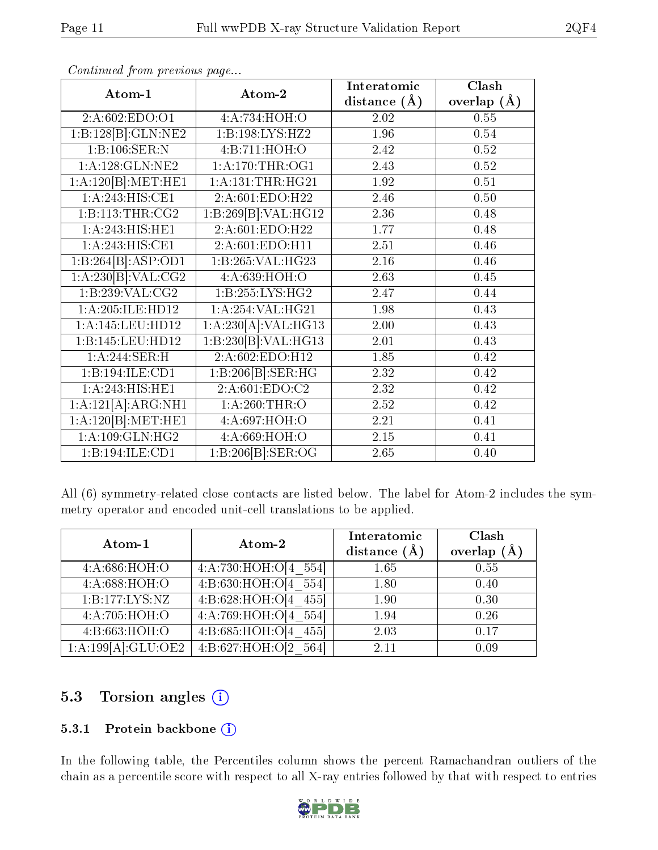| Atom-1                              | Atom-2                    | Interatomic       | Clash         |  |
|-------------------------------------|---------------------------|-------------------|---------------|--|
|                                     |                           | distance $(\AA)$  | overlap $(A)$ |  |
| 2:A:602:EDO:O1                      | 4:A:734:HOH:O             | 2.02              | 0.55          |  |
| 1:B:128[B]:GLN:NE2                  | 1:B:198:LYS:HZ2           | 1.96              | 0.54          |  |
| 1:B:106:SER:N                       | 4:B:711:HOH:O             | 2.42              | 0.52          |  |
| 1:A:128:GLN:NE2                     | 1: A:170:THR:OG1          | 2.43              | 0.52          |  |
| 1:A:120[B]:MET:HE1                  | 1: A: 131: THR: HG21      | 1.92              | 0.51          |  |
| 1:A:243:HIS:CE1                     | 2:A:601:EDO:H22           | 2.46              | 0.50          |  |
| 1: B: 113: THR: CG2                 | 1:B:269[B]:VAL:HG12       | 2.36              | 0.48          |  |
| 1:A:243:HIS:HEL                     | 2:A:601:EDO:H22           | 1.77              | 0.48          |  |
| 1:A:243:HIS:CE1                     | 2:A:601:EDO:H11           | $\overline{2.51}$ | 0.46          |  |
| 1:B:264[B]:ASP:OD1                  | 1:B:265:VAL:HG23          | 2.16              | 0.46          |  |
| 1:A:230[B]:VAL:CG2                  | 4:A:639:HOH:O             | 2.63              | 0.45          |  |
| $1:B:239:\overline{\text{VAL}:CG2}$ | 1:B:255:LYS:HG2           | 2.47              | 0.44          |  |
| 1:A:205:ILE:HD12                    | 1: A:254: VAL: HG21       | 1.98              | 0.43          |  |
| $1:$ A:145:LEU:HD12                 | 1:A:230[A]:VAL:HG13       | 2.00              | 0.43          |  |
| 1:B:145:LEU:HD12                    | 1:B:230[B]:VAL:HG13       | 2.01              | 0.43          |  |
| 1:A:244:SER:H                       | 2:A:602:EDO:H12           | 1.85              | 0.42          |  |
| 1:B:194:ILE:CD1                     | 1:B:206[B]:SER:HG         | 2.32              | 0.42          |  |
| 1:A:243:HIS:HEL                     | 2:A:601:EDO:C2            | $2.32\,$          | 0.42          |  |
| 1:A:121[A]:ARG:NH1                  | 1: A:260:THR:O            | 2.52              | 0.42          |  |
| 1:A:120[B]:MET:HE1                  | 4:A:697:HOH:O             | 2.21              | 0.41          |  |
| 1: A:109: GLN: HG2                  | 4:A:669:HOH:O             | $\overline{2.15}$ | 0.41          |  |
| 1:B:194:ILE:CD1                     | 1:B:206[B]: <b>SER:OG</b> | 2.65              | 0.40          |  |

Continued from previous page...

All (6) symmetry-related close contacts are listed below. The label for Atom-2 includes the symmetry operator and encoded unit-cell translations to be applied.

| Atom-1             | Atom-2                     | Interatomic<br>distance $(A)$ | Clash<br>overlap $(A)$ |
|--------------------|----------------------------|-------------------------------|------------------------|
| 4:A:686:HOH:O      | 4:A:730:HOH:O[4]<br>554    | 1.65                          | 0.55                   |
| 4:A:688:HOH:O      | 4: B:630:HOH O(4)<br>554   | 1.80                          | 0.40                   |
| 1:B:177:LYS:NZ     | 4:5:628:HOH:O[4]<br>455    | 1.90                          | 0.30                   |
| 4:A:705:HOH:O      | 4:A:769:HOH:O[4]<br>554    | 1.94                          | 0.26                   |
| 4:B:663:HOH:O      | 4: B:685: HOH: O[4]<br>455 | 2.03                          | 0.17                   |
| 1:A:199[A]:GLU:OE2 | 4:5:627:HOH:O[2]<br>564    | 2.11                          | 0.09                   |

### 5.3 Torsion angles (i)

#### 5.3.1 Protein backbone (i)

In the following table, the Percentiles column shows the percent Ramachandran outliers of the chain as a percentile score with respect to all X-ray entries followed by that with respect to entries

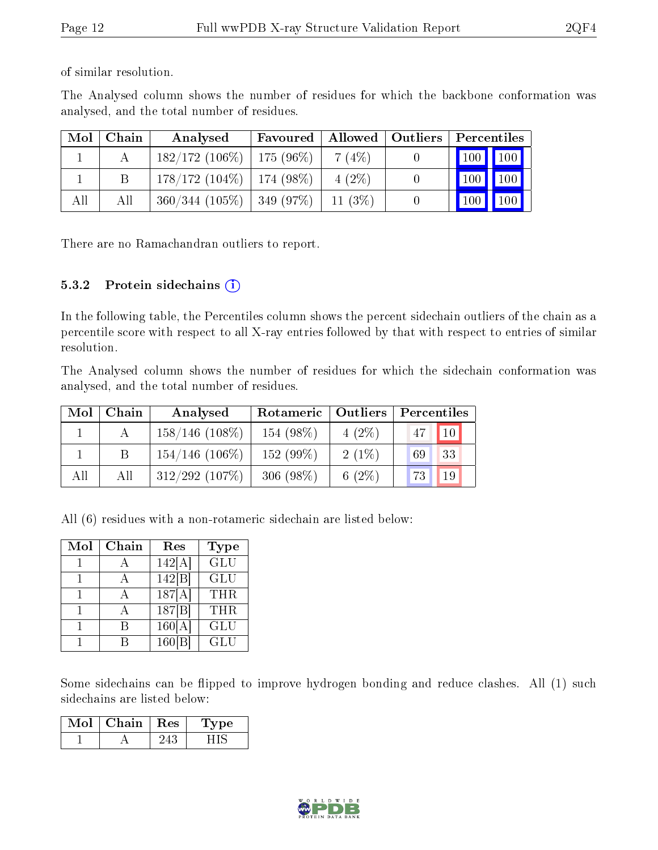of similar resolution.

The Analysed column shows the number of residues for which the backbone conformation was analysed, and the total number of residues.

| Mol | Chain | Analysed                       | Allowed   Outliers<br>Favoured |           | Percentiles |                 |  |
|-----|-------|--------------------------------|--------------------------------|-----------|-------------|-----------------|--|
|     |       | $182/172$ (106\%)   175 (96\%) |                                | 7(4%)     | 100 100     |                 |  |
|     |       | $178/172(104\%)$               | 174 (98%)                      | $4(2\%)$  |             | $100$   $100$   |  |
| All | All   | 360/344(105%)                  | $\pm 349~(97\%)$               | $11(3\%)$ | <b>100</b>  | $\bigwedge 100$ |  |

There are no Ramachandran outliers to report.

#### 5.3.2 Protein sidechains  $(i)$

In the following table, the Percentiles column shows the percent sidechain outliers of the chain as a percentile score with respect to all X-ray entries followed by that with respect to entries of similar resolution.

The Analysed column shows the number of residues for which the sidechain conformation was analysed, and the total number of residues.

| Mol | Chain | Analysed          | Rotameric   | <b>Outliers</b> | Percentiles |                 |  |
|-----|-------|-------------------|-------------|-----------------|-------------|-----------------|--|
|     |       | $158/146$ (108\%) | 154 (98%)   | $4(2\%)$        | 47          | 10 <sup>1</sup> |  |
|     |       | $154/146$ (106\%) | 152 (99%)   | $2(1\%)$        | 69          | 33              |  |
| All | All   | $312/292$ (107%)  | 306 $(98%)$ | 6 $(2\%)$       | 73          | 19              |  |

All (6) residues with a non-rotameric sidechain are listed below:

| Mol | Chain | Res               | <b>Type</b> |
|-----|-------|-------------------|-------------|
|     |       | 142[A]            | GLU         |
|     |       | 142 B             | <b>GLU</b>  |
|     |       | 187[A]            | <b>THR</b>  |
|     |       | 187 B             | THR.        |
|     |       | 160[A]            | <b>GLU</b>  |
|     |       | $160\overline{B}$ | GLU         |

Some sidechains can be flipped to improve hydrogen bonding and reduce clashes. All (1) such sidechains are listed below:

| Mol | Chain. | $\mathbf{Res}$ | L'vpe : |
|-----|--------|----------------|---------|
|     |        |                |         |

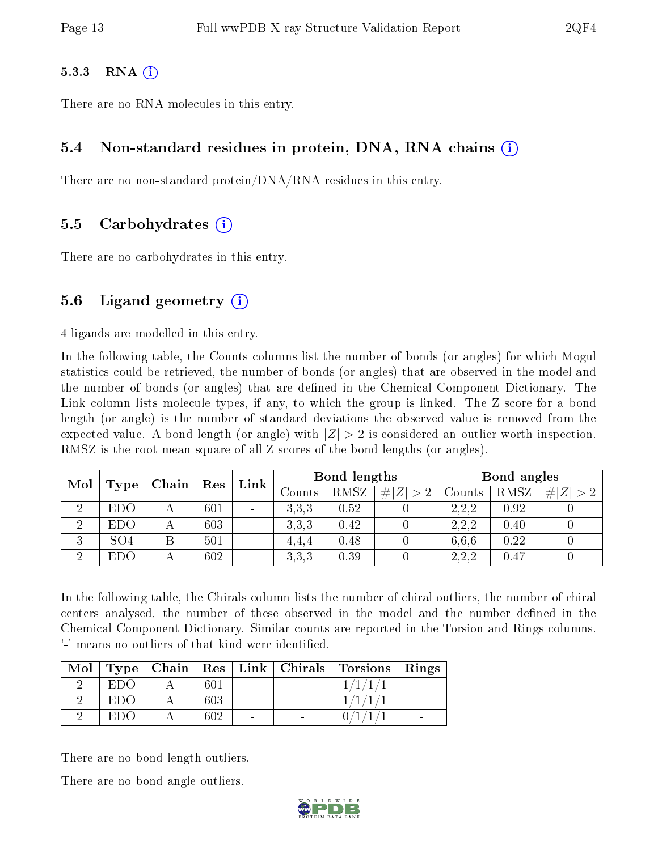#### $5.3.3$  RNA  $(i)$

There are no RNA molecules in this entry.

#### 5.4 Non-standard residues in protein, DNA, RNA chains (i)

There are no non-standard protein/DNA/RNA residues in this entry.

#### 5.5 Carbohydrates (i)

There are no carbohydrates in this entry.

#### 5.6 Ligand geometry (i)

4 ligands are modelled in this entry.

In the following table, the Counts columns list the number of bonds (or angles) for which Mogul statistics could be retrieved, the number of bonds (or angles) that are observed in the model and the number of bonds (or angles) that are defined in the Chemical Component Dictionary. The Link column lists molecule types, if any, to which the group is linked. The Z score for a bond length (or angle) is the number of standard deviations the observed value is removed from the expected value. A bond length (or angle) with  $|Z| > 2$  is considered an outlier worth inspection. RMSZ is the root-mean-square of all Z scores of the bond lengths (or angles).

| Mol                  |                 |  | Chain |                              | $\operatorname{Res}$ | $\mathop{\rm Link}\nolimits$ | Bond lengths |        |      |             | Bond angles |  |  |
|----------------------|-----------------|--|-------|------------------------------|----------------------|------------------------------|--------------|--------|------|-------------|-------------|--|--|
|                      | Type            |  |       |                              | Counts               | RMSZ                         | # $ Z  > 2$  | Counts | RMSZ | # $ Z  > 2$ |             |  |  |
| $\ddot{\phantom{0}}$ | <b>EDO</b>      |  | 601   | $\sim$                       | 3.3.3                | 0.52                         |              | 2,2,2  | 0.92 |             |             |  |  |
| ച                    | <b>EDO</b>      |  | 603   | $\qquad \qquad \blacksquare$ | 3.3.3                | 0.42                         |              | 2.2.2  | 0.40 |             |             |  |  |
| 3                    | SO <sub>4</sub> |  | 501   | $\overline{\phantom{a}}$     | 4,4,4                | 0.48                         |              | 6.6.6  | 0.22 |             |             |  |  |
| ച                    | <b>EDO</b>      |  | 602   | $\qquad \qquad \blacksquare$ | 3,3,3                | 0.39                         |              | 2,2,2  | 0.47 |             |             |  |  |

In the following table, the Chirals column lists the number of chiral outliers, the number of chiral centers analysed, the number of these observed in the model and the number defined in the Chemical Component Dictionary. Similar counts are reported in the Torsion and Rings columns. '-' means no outliers of that kind were identified.

|     |     |  | Mol   Type   Chain   Res   Link   Chirals   Torsions   Rings |  |
|-----|-----|--|--------------------------------------------------------------|--|
| EDC | 601 |  |                                                              |  |
| EDO | 603 |  |                                                              |  |
| EDC | 602 |  |                                                              |  |

There are no bond length outliers.

There are no bond angle outliers.

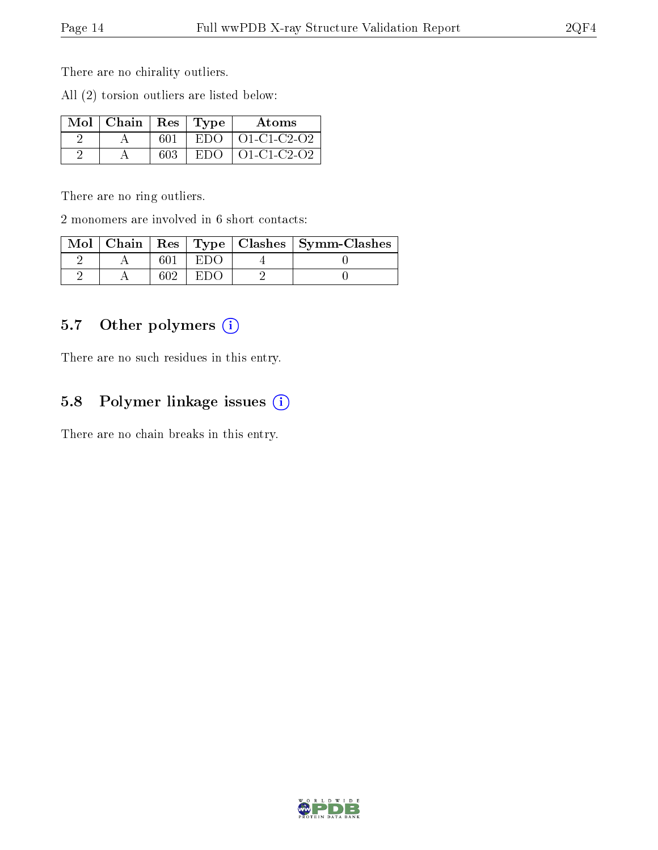There are no chirality outliers.

All (2) torsion outliers are listed below:

| $Mol$   Chain   Res   Type |     | Atoms                  |
|----------------------------|-----|------------------------|
|                            | 601 | $EDO$   $O1$ -C1-C2-O2 |
|                            | 603 | $EDO$   $O1$ -C1-C2-O2 |

There are no ring outliers.

2 monomers are involved in 6 short contacts:

|  |  | Mol   Chain   Res   Type   Clashes   Symm-Clashes |
|--|--|---------------------------------------------------|
|  |  |                                                   |
|  |  |                                                   |

#### 5.7 [O](https://www.wwpdb.org/validation/2017/XrayValidationReportHelp#nonstandard_residues_and_ligands)ther polymers (i)

There are no such residues in this entry.

### 5.8 Polymer linkage issues  $(i)$

There are no chain breaks in this entry.

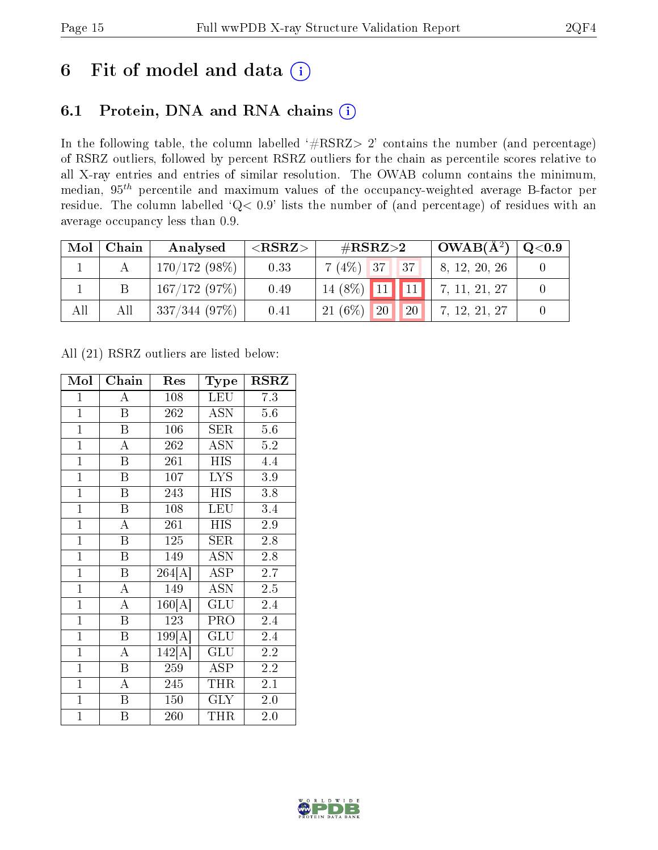### 6 Fit of model and data  $(i)$

### 6.1 Protein, DNA and RNA chains  $(i)$

In the following table, the column labelled  $#RSRZ> 2'$  contains the number (and percentage) of RSRZ outliers, followed by percent RSRZ outliers for the chain as percentile scores relative to all X-ray entries and entries of similar resolution. The OWAB column contains the minimum, median,  $95<sup>th</sup>$  percentile and maximum values of the occupancy-weighted average B-factor per residue. The column labelled ' $Q< 0.9$ ' lists the number of (and percentage) of residues with an average occupancy less than 0.9.

| Mol | Chain | Analysed        | ${ <\hspace{-1.5pt}{\mathrm{RSRZ}} \hspace{-1.5pt}>}$ | $\#\text{RSRZ}\text{>2}$     | $+$ $\mathbf{OWAB}(\mathrm{A}^{2})$ $+$ | $^{\circ}$ Q $<$ 0.9 $^{\circ}$ |
|-----|-------|-----------------|-------------------------------------------------------|------------------------------|-----------------------------------------|---------------------------------|
|     |       | $170/172(98\%)$ | 0.33                                                  | $7(4\%)$ 37<br> 37           | 8, 12, 20, 26                           |                                 |
|     |       | 167/172(97%)    | 0.49                                                  | $14(8\%)$ 11                 | 7, 11, 21, 27                           |                                 |
| All | All   | $337/344$ (97%) | 0.41                                                  | $21(6\%)$<br><b>20</b><br>20 | 7, 12, 21, 27                           |                                 |

All (21) RSRZ outliers are listed below:

| Mol            | Chain                   | Res                 | Type       | RSRZ    |  |
|----------------|-------------------------|---------------------|------------|---------|--|
| $\mathbf{1}$   | A                       | 108                 | <b>LEU</b> | 7.3     |  |
| $\mathbf{1}$   | $\mathbf B$             | 262                 | <b>ASN</b> | 5.6     |  |
| $\mathbf{1}$   | $\overline{\mathrm{B}}$ | $\overline{106}$    | <b>SER</b> | 5.6     |  |
| $\mathbf{1}$   | A                       | 262                 | <b>ASN</b> | $5.2\,$ |  |
| $\mathbf{1}$   | B                       | 261                 | HIS        | 4.4     |  |
| $\overline{1}$ | $\overline{\mathrm{B}}$ | 107                 | <b>LYS</b> | 3.9     |  |
| $\mathbf{1}$   | $\mathbf B$             | 243                 | <b>HIS</b> | 3.8     |  |
| $\mathbf{1}$   | $\mathbf B$             | 108                 | LEU        | 3.4     |  |
| $\overline{1}$ | $\overline{\rm A}$      | 261                 | <b>HIS</b> | 2.9     |  |
| $\mathbf{1}$   | $\overline{\mathrm{B}}$ | 125                 | SER        | 2.8     |  |
| $\overline{1}$ | $\boldsymbol{B}$        | 149                 | <b>ASN</b> | $2.8\,$ |  |
| $\overline{1}$ | $\overline{\mathrm{B}}$ | $\overline{264[A]}$ | ASP        | 2.7     |  |
| $\overline{1}$ | $\overline{A}$          | 149                 | <b>ASN</b> | 2.5     |  |
| $\mathbf{1}$   | $\overline{\rm A}$      | 160[A]              | GLU        | 2.4     |  |
| $\mathbf{1}$   | $\mathbf B$             | 123                 | PRO        | 2.4     |  |
| $\overline{1}$ | $\overline{\mathrm{B}}$ | 199[A]              | <b>GLU</b> | 2.4     |  |
| $\overline{1}$ | $\overline{\rm A}$      | 142[A]              | GLU        | 2.2     |  |
| $\mathbf{1}$   | B                       | 259                 | ASP        | $2.2\,$ |  |
| $\overline{1}$ | $\overline{\rm A}$      | 245                 | <b>THR</b> | 2.1     |  |
| $\mathbf{1}$   | B                       | 150                 | <b>GLY</b> | 2.0     |  |
| $\mathbf{1}$   | B                       | 260                 | <b>THR</b> | 2.0     |  |